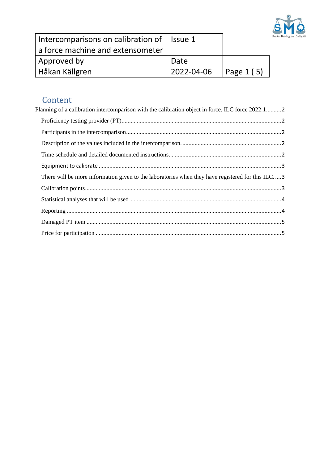

| Intercomparisons on calibration of   Issue 1 |                                                                 |  |
|----------------------------------------------|-----------------------------------------------------------------|--|
| a force machine and extensometer             |                                                                 |  |
| Approved by                                  | Date                                                            |  |
| Håkan Källgren                               | $12022 - 04 - 06$ $\sqrt{292 - 04 - 06}$ $\sqrt{292 - 04 - 06}$ |  |

# Content<br>Planning of a ca

| Planning of a calibration intercomparison with the calibration object in force. ILC force 2022:12 |  |
|---------------------------------------------------------------------------------------------------|--|
|                                                                                                   |  |
|                                                                                                   |  |
|                                                                                                   |  |
|                                                                                                   |  |
|                                                                                                   |  |
| There will be more information given to the laboratories when they have registered for this ILC3  |  |
|                                                                                                   |  |
|                                                                                                   |  |
|                                                                                                   |  |
|                                                                                                   |  |
|                                                                                                   |  |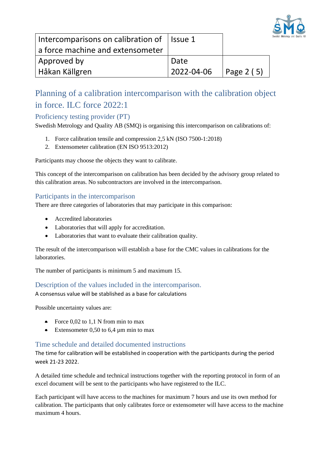

| Intercomparisons on calibration of   Issue 1 |                           |  |
|----------------------------------------------|---------------------------|--|
| a force machine and extensometer             |                           |  |
| Approved by                                  | Date                      |  |
| Håkan Källgren                               | $ 2022-04-06 $ Page 2 (5) |  |

## <span id="page-1-0"></span>Planning of a calibration intercomparison with the calibration object in force. ILC force 2022:1

## <span id="page-1-1"></span>Proficiency testing provider (PT)

Swedish Metrology and Quality AB (SMQ) is organising this intercomparison on calibrations of:

- 1. Force calibration tensile and compression 2,5 kN (ISO 7500-1:2018)
- 2. Extensometer calibration (EN ISO 9513:2012)

Participants may choose the objects they want to calibrate.

This concept of the intercomparison on calibration has been decided by the advisory group related to this calibration areas. No subcontractors are involved in the intercomparison.

## <span id="page-1-2"></span>Participants in the intercomparison

There are three categories of laboratories that may participate in this comparison:

- Accredited laboratories
- Laboratories that will apply for accreditation.
- Laboratories that want to evaluate their calibration quality.

The result of the intercomparison will establish a base for the CMC values in calibrations for the laboratories.

The number of participants is minimum 5 and maximum 15.

<span id="page-1-3"></span>Description of the values included in the intercomparison.

A consensus value will be stablished as a base for calculations

Possible uncertainty values are:

- Force  $0.02$  to 1,1 N from min to max
- Extensometer 0,50 to 6,4  $\mu$ m min to max

## <span id="page-1-4"></span>Time schedule and detailed documented instructions

The time for calibration will be established in cooperation with the participants during the period week 21-23 2022.

A detailed time schedule and technical instructions together with the reporting protocol in form of an excel document will be sent to the participants who have registered to the ILC.

Each participant will have access to the machines for maximum 7 hours and use its own method for calibration. The participants that only calibrates force or extensometer will have access to the machine maximum 4 hours.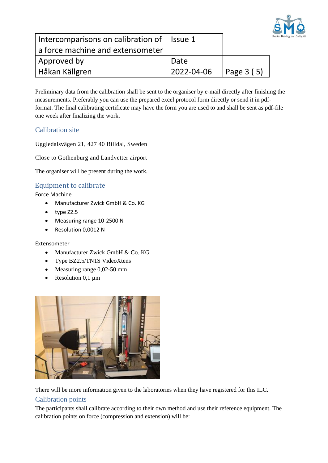

| Intercomparisons on calibration of $\vert$ Issue 1 |            |            |
|----------------------------------------------------|------------|------------|
| a force machine and extensometer                   |            |            |
| Approved by                                        | Date       |            |
| Håkan Källgren                                     | 2022-04-06 | Page 3 (5) |

Preliminary data from the calibration shall be sent to the organiser by e-mail directly after finishing the measurements. Preferably you can use the prepared excel protocol form directly or send it in pdfformat. The final calibrating certificate may have the form you are used to and shall be sent as pdf-file one week after finalizing the work.

## Calibration site

Uggledalsvägen 21, 427 40 Billdal, Sweden

Close to Gothenburg and Landvetter airport

The organiser will be present during the work.

## <span id="page-2-0"></span>Equipment to calibrate

Force Machine

- Manufacturer Zwick GmbH & Co. KG
- type Z2.5
- Measuring range 10-2500 N
- Resolution 0,0012 N

#### Extensometer

- Manufacturer Zwick GmbH & Co. KG
- Type BZ2.5/TN1S VideoXtens
- Measuring range 0,02-50 mm
- Resolution  $0,1 \mu m$



<span id="page-2-1"></span>There will be more information given to the laboratories when they have registered for this ILC.

## <span id="page-2-2"></span>Calibration points

The participants shall calibrate according to their own method and use their reference equipment. The calibration points on force (compression and extension) will be: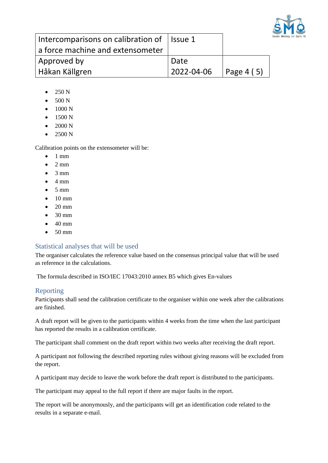

| Intercomparisons on calibration of   Issue 1 |                                |  |
|----------------------------------------------|--------------------------------|--|
| a force machine and extensometer             |                                |  |
| Approved by                                  | Date                           |  |
| <b>Håkan Källgren</b>                        | $12022 - 04 - 06$   Page 4 (5) |  |

- $\bullet$  250 N
- 500 N
- 1000 N
- 1500 N
- 2000 N
- 2500 N

Calibration points on the extensometer will be:

- 1 mm
- $\bullet$  2 mm
- $3 \text{ mm}$
- $\bullet$  4 mm
- 5 mm
- 10 mm
- 20 mm
- 30 mm
- 40 mm
- $\bullet$  50 mm

#### <span id="page-3-0"></span>Statistical analyses that will be used

The organiser calculates the reference value based on the consensus principal value that will be used as reference in the calculations.

The formula described in ISO/IEC 17043:2010 annex B5 which gives En-values

#### <span id="page-3-1"></span>Reporting

Participants shall send the calibration certificate to the organiser within one week after the calibrations are finished.

A draft report will be given to the participants within 4 weeks from the time when the last participant has reported the results in a calibration certificate.

The participant shall comment on the draft report within two weeks after receiving the draft report.

A participant not following the described reporting rules without giving reasons will be excluded from the report.

A participant may decide to leave the work before the draft report is distributed to the participants.

The participant may appeal to the full report if there are major faults in the report.

The report will be anonymously, and the participants will get an identification code related to the results in a separate e-mail.